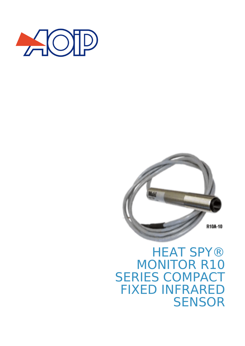



## **HEAT SPY®** MONITOR R10 SERIES COMPACT FIXED INFRARED **SENSOR**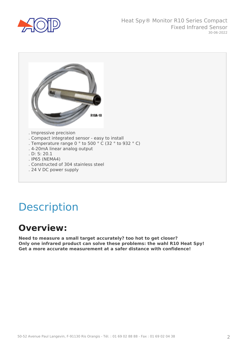



# Description

#### **Overview:**

**Need to measure a small target accurately? too hot to get closer? Only one infrared product can solve these problems: the wahl R10 Heat Spy! Get a more accurate measurement at a safer distance with confidence!**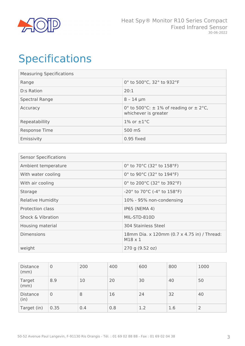

# Specifications

| <b>Measuring Specifications</b> |                                                                        |  |  |  |
|---------------------------------|------------------------------------------------------------------------|--|--|--|
| Range                           | 0° to 500°C, 32° to 932°F                                              |  |  |  |
| D:s Ration                      | 20:1                                                                   |  |  |  |
| Spectral Range                  | $8 - 14 \mu m$                                                         |  |  |  |
| Accuracy                        | 0° to 500°C: $\pm$ 1% of reading or $\pm$ 2°C,<br>whichever is greater |  |  |  |
| Repeatabillity                  | 1% or $\pm 1^{\circ}$ C                                                |  |  |  |
| Response Time                   | 500 mS                                                                 |  |  |  |
| Emissivity                      | 0.95 fixed                                                             |  |  |  |

| <b>Sensor Specifications</b> |                                                                       |  |  |  |
|------------------------------|-----------------------------------------------------------------------|--|--|--|
| Ambient temperature          | 0° to 70°C (32° to 158°F)                                             |  |  |  |
| With water cooling           | 0° to 90°C (32° to 194°F)                                             |  |  |  |
| With air cooling             | 0° to 200°C (32° to 392°F)                                            |  |  |  |
| Storage                      | -20 $^{\circ}$ to 70 $^{\circ}$ C (-4 $^{\circ}$ to 158 $^{\circ}$ F) |  |  |  |
| <b>Relative Humidity</b>     | 10% - 95% non-condensing                                              |  |  |  |
| Protection class             | <b>IP65 (NEMA 4)</b>                                                  |  |  |  |
| <b>Shock &amp; Vibration</b> | MIL-STD-810D                                                          |  |  |  |
| Housing material             | 304 Stainless Steel                                                   |  |  |  |
| <b>Dimensions</b>            | 18mm Dia. x 120mm (0.7 x 4.75 in) / Thread:<br>$M18 \times 1$         |  |  |  |
| weight                       | 270 g (9.52 oz)                                                       |  |  |  |

| <b>Distance</b><br>(mm) | $\overline{0}$ | 200 | 400 | 600 | 800 | 1000 |
|-------------------------|----------------|-----|-----|-----|-----|------|
| Target<br>(mm)          | 8.9            | 10  | 20  | 30  | 40  | 50   |
| <b>Distance</b><br>(in) | 0              | 8   | 16  | 24  | 32  | 40   |
| Target (in)             | 0.35           | 0.4 | 0.8 | 1.2 | 1.6 | 2    |